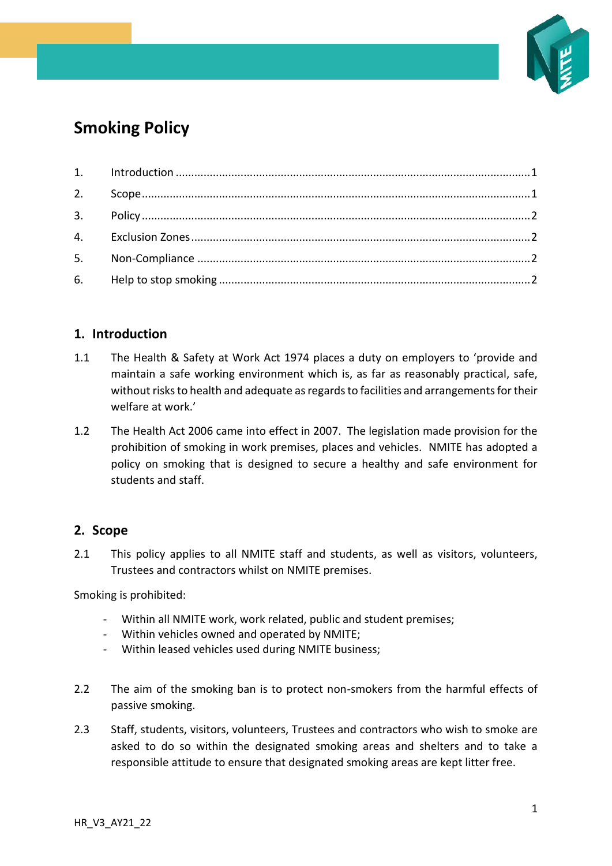

# **Smoking Policy**

#### <span id="page-0-0"></span>**1. Introduction**

- 1.1 The Health & Safety at Work Act 1974 places a duty on employers to 'provide and maintain a safe working environment which is, as far as reasonably practical, safe, without risks to health and adequate as regards to facilities and arrangements for their welfare at work.'
- 1.2 The Health Act 2006 came into effect in 2007. The legislation made provision for the prohibition of smoking in work premises, places and vehicles. NMITE has adopted a policy on smoking that is designed to secure a healthy and safe environment for students and staff.

#### <span id="page-0-1"></span>**2. Scope**

2.1 This policy applies to all NMITE staff and students, as well as visitors, volunteers, Trustees and contractors whilst on NMITE premises.

Smoking is prohibited:

- Within all NMITE work, work related, public and student premises;
- Within vehicles owned and operated by NMITE;
- Within leased vehicles used during NMITE business;
- 2.2 The aim of the smoking ban is to protect non-smokers from the harmful effects of passive smoking.
- 2.3 Staff, students, visitors, volunteers, Trustees and contractors who wish to smoke are asked to do so within the designated smoking areas and shelters and to take a responsible attitude to ensure that designated smoking areas are kept litter free.